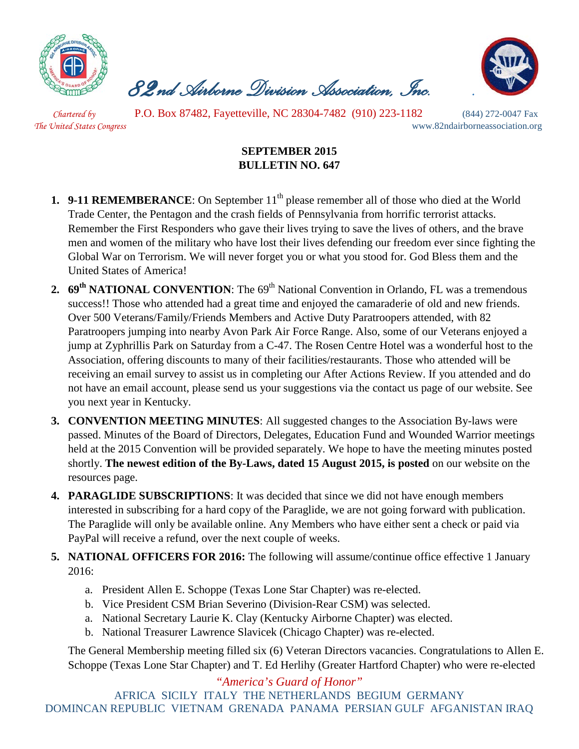

 *82nd Airborne Division Association, Inc. .* 



*Chartered by* P.O. Box 87482, Fayetteville, NC 28304-7482 (910) 223-1182 (844) 272-0047 Fax

*The United States Congress* www.82ndairborneassociation.org

## **SEPTEMBER 2015 BULLETIN NO. 647**

- **1. 9-11 REMEMBERANCE**: On September 11<sup>th</sup> please remember all of those who died at the World Trade Center, the Pentagon and the crash fields of Pennsylvania from horrific terrorist attacks. Remember the First Responders who gave their lives trying to save the lives of others, and the brave men and women of the military who have lost their lives defending our freedom ever since fighting the Global War on Terrorism. We will never forget you or what you stood for. God Bless them and the United States of America!
- 2. **69<sup>th</sup> NATIONAL CONVENTION**: The 69<sup>th</sup> National Convention in Orlando, FL was a tremendous success!! Those who attended had a great time and enjoyed the camaraderie of old and new friends. Over 500 Veterans/Family/Friends Members and Active Duty Paratroopers attended, with 82 Paratroopers jumping into nearby Avon Park Air Force Range. Also, some of our Veterans enjoyed a jump at Zyphrillis Park on Saturday from a C-47. The Rosen Centre Hotel was a wonderful host to the Association, offering discounts to many of their facilities/restaurants. Those who attended will be receiving an email survey to assist us in completing our After Actions Review. If you attended and do not have an email account, please send us your suggestions via the contact us page of our website. See you next year in Kentucky.
- **3. CONVENTION MEETING MINUTES**: All suggested changes to the Association By-laws were passed. Minutes of the Board of Directors, Delegates, Education Fund and Wounded Warrior meetings held at the 2015 Convention will be provided separately. We hope to have the meeting minutes posted shortly. **The newest edition of the By-Laws, dated 15 August 2015, is posted** on our website on the resources page.
- **4. PARAGLIDE SUBSCRIPTIONS**: It was decided that since we did not have enough members interested in subscribing for a hard copy of the Paraglide, we are not going forward with publication. The Paraglide will only be available online. Any Members who have either sent a check or paid via PayPal will receive a refund, over the next couple of weeks.
- **5. NATIONAL OFFICERS FOR 2016:** The following will assume/continue office effective 1 January 2016:
	- a. President Allen E. Schoppe (Texas Lone Star Chapter) was re-elected.
	- b. Vice President CSM Brian Severino (Division-Rear CSM) was selected.
	- a. National Secretary Laurie K. Clay (Kentucky Airborne Chapter) was elected.
	- b. National Treasurer Lawrence Slavicek (Chicago Chapter) was re-elected.

The General Membership meeting filled six (6) Veteran Directors vacancies. Congratulations to Allen E. Schoppe (Texas Lone Star Chapter) and T. Ed Herlihy (Greater Hartford Chapter) who were re-elected

*"America's Guard of Honor"* AFRICA SICILY ITALY THE NETHERLANDS BEGIUM GERMANY DOMINCAN REPUBLIC VIETNAM GRENADA PANAMA PERSIAN GULF AFGANISTAN IRAQ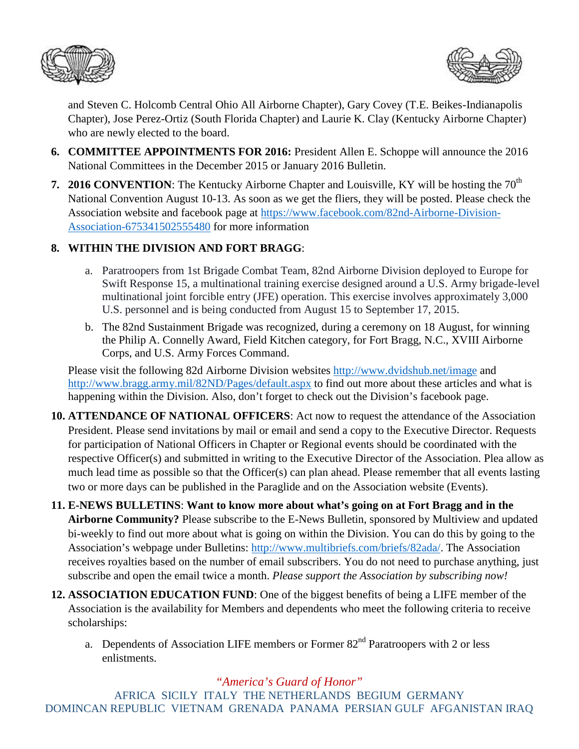



and Steven C. Holcomb Central Ohio All Airborne Chapter), Gary Covey (T.E. Beikes-Indianapolis Chapter), Jose Perez-Ortiz (South Florida Chapter) and Laurie K. Clay (Kentucky Airborne Chapter) who are newly elected to the board.

- **6. COMMITTEE APPOINTMENTS FOR 2016:** President Allen E. Schoppe will announce the 2016 National Committees in the December 2015 or January 2016 Bulletin.
- **7. 2016 CONVENTION:** The Kentucky Airborne Chapter and Louisville, KY will be hosting the 70<sup>th</sup> National Convention August 10-13. As soon as we get the fliers, they will be posted. Please check the Association website and facebook page at [https://www.facebook.com/82nd-Airborne-Division-](https://www.facebook.com/82nd-Airborne-Division-Association-675341502555480)[Association-675341502555480](https://www.facebook.com/82nd-Airborne-Division-Association-675341502555480) for more information

## **8. WITHIN THE DIVISION AND FORT BRAGG**:

- a. Paratroopers from 1st Brigade Combat Team, 82nd Airborne Division deployed to Europe for Swift Response 15, a multinational training exercise designed around a U.S. Army brigade-level multinational joint forcible entry (JFE) operation. This exercise involves approximately 3,000 U.S. personnel and is being conducted from August 15 to September 17, 2015.
- b. The 82nd Sustainment Brigade was recognized, during a ceremony on 18 August, for winning the Philip A. Connelly Award, Field Kitchen category, for [Fort Bragg, N.C.,](https://www.facebook.com/fortbraggnc) [XVIII Airborne](https://www.facebook.com/XVIII.Airborne.Corps)  [Corps,](https://www.facebook.com/XVIII.Airborne.Corps) and [U.S. Army Forces Command.](https://www.facebook.com/FORSCOM)

Please visit the following 82d Airborne Division websites<http://www.dvidshub.net/image> and <http://www.bragg.army.mil/82ND/Pages/default.aspx> to find out more about these articles and what is happening within the Division. Also, don't forget to check out the Division's facebook page.

- **10. ATTENDANCE OF NATIONAL OFFICERS**: Act now to request the attendance of the Association President. Please send invitations by mail or email and send a copy to the Executive Director. Requests for participation of National Officers in Chapter or Regional events should be coordinated with the respective Officer(s) and submitted in writing to the Executive Director of the Association. Plea allow as much lead time as possible so that the Officer(s) can plan ahead. Please remember that all events lasting two or more days can be published in the Paraglide and on the Association website (Events).
- **11. E-NEWS BULLETINS**: **Want to know more about what's going on at Fort Bragg and in the Airborne Community?** Please subscribe to the E-News Bulletin, sponsored by Multiview and updated bi-weekly to find out more about what is going on within the Division. You can do this by going to the Association's webpage under Bulletins: [http://www.multibriefs.com/briefs/82ada/.](http://www.multibriefs.com/briefs/82ada/) The Association receives royalties based on the number of email subscribers. You do not need to purchase anything, just subscribe and open the email twice a month. *Please support the Association by subscribing now!*
- **12. ASSOCIATION EDUCATION FUND**: One of the biggest benefits of being a LIFE member of the Association is the availability for Members and dependents who meet the following criteria to receive scholarships:
	- a. Dependents of Association LIFE members or Former 82<sup>nd</sup> Paratroopers with 2 or less enlistments.

## *"America's Guard of Honor"*

AFRICA SICILY ITALY THE NETHERLANDS BEGIUM GERMANY DOMINCAN REPUBLIC VIETNAM GRENADA PANAMA PERSIAN GULF AFGANISTAN IRAQ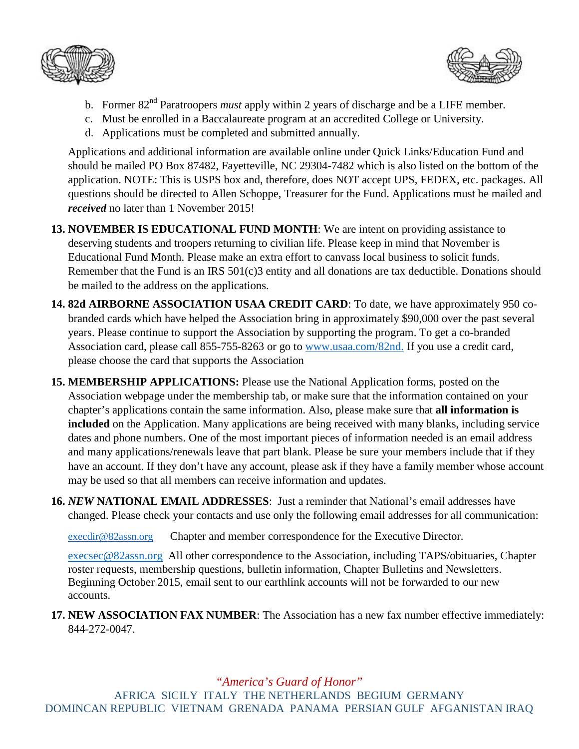



- b. Former 82nd Paratroopers *must* apply within 2 years of discharge and be a LIFE member.
- c. Must be enrolled in a Baccalaureate program at an accredited College or University.
- d. Applications must be completed and submitted annually.

Applications and additional information are available online under Quick Links/Education Fund and should be mailed PO Box 87482, Fayetteville, NC 29304-7482 which is also listed on the bottom of the application. NOTE: This is USPS box and, therefore, does NOT accept UPS, FEDEX, etc. packages. All questions should be directed to Allen Schoppe, Treasurer for the Fund. Applications must be mailed and *received* no later than 1 November 2015!

- **13. NOVEMBER IS EDUCATIONAL FUND MONTH**: We are intent on providing assistance to deserving students and troopers returning to civilian life. Please keep in mind that November is Educational Fund Month. Please make an extra effort to canvass local business to solicit funds. Remember that the Fund is an IRS 501(c)3 entity and all donations are tax deductible. Donations should be mailed to the address on the applications.
- **14. 82d AIRBORNE ASSOCIATION USAA CREDIT CARD**: To date, we have approximately 950 cobranded cards which have helped the Association bring in approximately \$90,000 over the past several years. Please continue to support the Association by supporting the program. To get a co-branded Association card, please call 855-755-8263 or go to [www.usaa.com/82nd.](http://www.usaa.com/82nd) If you use a credit card, please choose the card that supports the Association
- **15. MEMBERSHIP APPLICATIONS:** Please use the National Application forms, posted on the Association webpage under the membership tab, or make sure that the information contained on your chapter's applications contain the same information. Also, please make sure that **all information is included** on the Application. Many applications are being received with many blanks, including service dates and phone numbers. One of the most important pieces of information needed is an email address and many applications/renewals leave that part blank. Please be sure your members include that if they have an account. If they don't have any account, please ask if they have a family member whose account may be used so that all members can receive information and updates.
- **16.** *NEW* **NATIONAL EMAIL ADDRESSES**: Just a reminder that National's email addresses have changed. Please check your contacts and use only the following email addresses for all communication:

[execdir@82assn.org](mailto:execdir@82assn.org) Chapter and member correspondence for the Executive Director.

[execsec@82assn.org](mailto:execsec@82assn.org) All other correspondence to the Association, including TAPS/obituaries, Chapter roster requests, membership questions, bulletin information, Chapter Bulletins and Newsletters. Beginning October 2015, email sent to our earthlink accounts will not be forwarded to our new accounts.

**17. NEW ASSOCIATION FAX NUMBER**: The Association has a new fax number effective immediately: 844-272-0047.

*"America's Guard of Honor"*

AFRICA SICILY ITALY THE NETHERLANDS BEGIUM GERMANY DOMINCAN REPUBLIC VIETNAM GRENADA PANAMA PERSIAN GULF AFGANISTAN IRAQ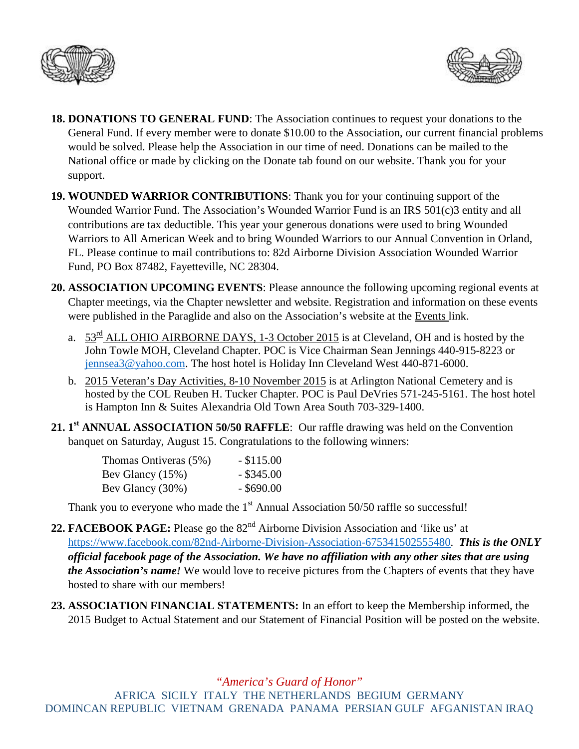



- **18. DONATIONS TO GENERAL FUND**: The Association continues to request your donations to the General Fund. If every member were to donate \$10.00 to the Association, our current financial problems would be solved. Please help the Association in our time of need. Donations can be mailed to the National office or made by clicking on the Donate tab found on our website. Thank you for your support.
- **19. WOUNDED WARRIOR CONTRIBUTIONS**: Thank you for your continuing support of the Wounded Warrior Fund. The Association's Wounded Warrior Fund is an IRS 501(c)3 entity and all contributions are tax deductible. This year your generous donations were used to bring Wounded Warriors to All American Week and to bring Wounded Warriors to our Annual Convention in Orland, FL. Please continue to mail contributions to: 82d Airborne Division Association Wounded Warrior Fund, PO Box 87482, Fayetteville, NC 28304.
- **20. ASSOCIATION UPCOMING EVENTS**: Please announce the following upcoming regional events at Chapter meetings, via the Chapter newsletter and website. Registration and information on these events were published in the Paraglide and also on the Association's website at the Events link.
	- a.  $53<sup>rd</sup>$  ALL OHIO AIRBORNE DAYS, 1-3 October 2015 is at Cleveland, OH and is hosted by the John Towle MOH, Cleveland Chapter. POC is Vice Chairman Sean Jennings 440-915-8223 or [jennsea3@yahoo.com.](mailto:jennsea3@yahoo.com) The host hotel is Holiday Inn Cleveland West 440-871-6000.
	- b. 2015 Veteran's Day Activities, 8-10 November 2015 is at Arlington National Cemetery and is hosted by the COL Reuben H. Tucker Chapter. POC is Paul DeVries 571-245-5161. The host hotel is Hampton Inn & Suites Alexandria Old Town Area South 703-329-1400.
- **21. 1st ANNUAL ASSOCIATION 50/50 RAFFLE**: Our raffle drawing was held on the Convention banquet on Saturday, August 15. Congratulations to the following winners:

| Thomas Ontiveras (5%) | $-$ \$115.00 |
|-----------------------|--------------|
| Bev Glancy $(15\%)$   | $-$ \$345.00 |
| Bev Glancy (30%)      | $-$ \$690.00 |

Thank you to everyone who made the  $1<sup>st</sup>$  Annual Association 50/50 raffle so successful!

- 22. **FACEBOOK PAGE:** Please go the 82<sup>nd</sup> Airborne Division Association and 'like us' at [https://www.facebook.com/82nd-Airborne-Division-Association-675341502555480.](https://www.facebook.com/82nd-Airborne-Division-Association-675341502555480) *This is the ONLY official facebook page of the Association. We have no affiliation with any other sites that are using the Association's name!* We would love to receive pictures from the Chapters of events that they have hosted to share with our members!
- **23. ASSOCIATION FINANCIAL STATEMENTS:** In an effort to keep the Membership informed, the 2015 Budget to Actual Statement and our Statement of Financial Position will be posted on the website.

*"America's Guard of Honor"*

AFRICA SICILY ITALY THE NETHERLANDS BEGIUM GERMANY DOMINCAN REPUBLIC VIETNAM GRENADA PANAMA PERSIAN GULF AFGANISTAN IRAQ